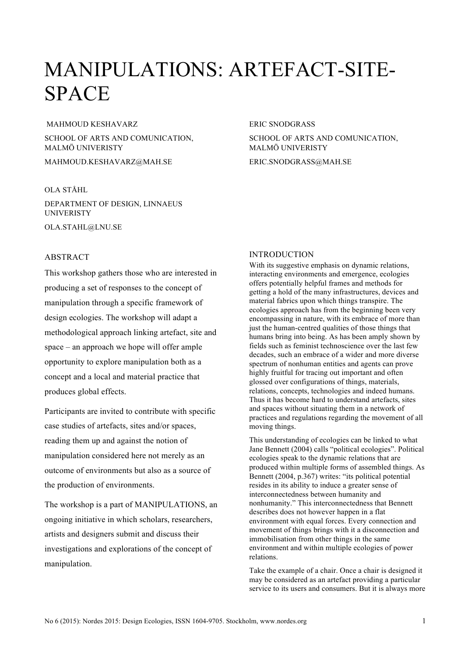# MANIPULATIONS: ARTEFACT-SITE-SPACE

#### MAHMOUD KESHAVARZ

SCHOOL OF ARTS AND COMUNICATION, MALMÖ UNIVERISTY

MAHMOUD.KESHAVARZ@MAH.SE

## OLA STÅHL

DEPARTMENT OF DESIGN, LINNAEUS **UNIVERISTY** OLA.STAHL@LNU.SE

# **ABSTRACT**

This workshop gathers those who are interested in producing a set of responses to the concept of manipulation through a specific framework of design ecologies. The workshop will adapt a methodological approach linking artefact, site and space – an approach we hope will offer ample opportunity to explore manipulation both as a concept and a local and material practice that produces global effects.

Participants are invited to contribute with specific case studies of artefacts, sites and/or spaces, reading them up and against the notion of manipulation considered here not merely as an outcome of environments but also as a source of the production of environments.

The workshop is a part of MANIPULATIONS, an ongoing initiative in which scholars, researchers, artists and designers submit and discuss their investigations and explorations of the concept of manipulation.

#### ERIC SNODGRASS

SCHOOL OF ARTS AND COMUNICATION, MALMÖ UNIVERISTY

ERIC.SNODGRASS@MAH.SE

# INTRODUCTION

With its suggestive emphasis on dynamic relations, interacting environments and emergence, ecologies offers potentially helpful frames and methods for getting a hold of the many infrastructures, devices and material fabrics upon which things transpire. The ecologies approach has from the beginning been very encompassing in nature, with its embrace of more than just the human-centred qualities of those things that humans bring into being. As has been amply shown by fields such as feminist technoscience over the last few decades, such an embrace of a wider and more diverse spectrum of nonhuman entities and agents can prove highly fruitful for tracing out important and often glossed over configurations of things, materials, relations, concepts, technologies and indeed humans. Thus it has become hard to understand artefacts, sites and spaces without situating them in a network of practices and regulations regarding the movement of all moving things.

This understanding of ecologies can be linked to what Jane Bennett (2004) calls "political ecologies". Political ecologies speak to the dynamic relations that are produced within multiple forms of assembled things. As Bennett (2004, p.367) writes: "its political potential resides in its ability to induce a greater sense of interconnectedness between humanity and nonhumanity." This interconnectedness that Bennett describes does not however happen in a flat environment with equal forces. Every connection and movement of things brings with it a disconnection and immobilisation from other things in the same environment and within multiple ecologies of power relations.

Take the example of a chair. Once a chair is designed it may be considered as an artefact providing a particular service to its users and consumers. But it is always more